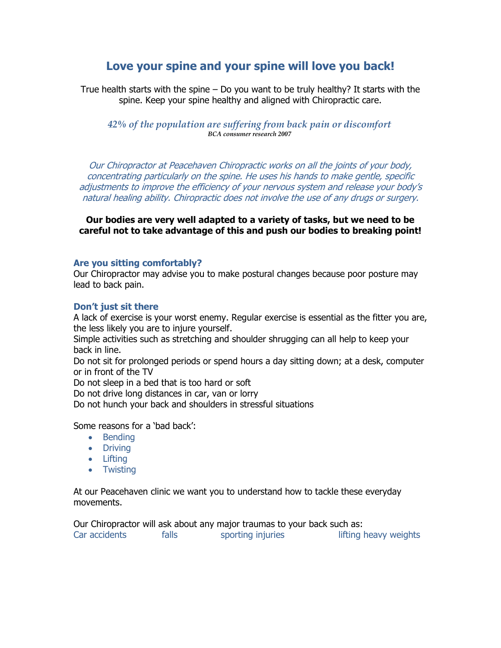# **Love your spine and your spine will love you back!**

True health starts with the spine – Do you want to be truly healthy? It starts with the spine. Keep your spine healthy and aligned with Chiropractic care.

# *42% of the population are suffering from back pain or discomfort BCA consumer research 2007*

Our Chiropractor at Peacehaven Chiropractic works on all the joints of your body, concentrating particularly on the spine. He uses his hands to make gentle, specific adjustments to improve the efficiency of your nervous system and release your body's natural healing ability. Chiropractic does not involve the use of any drugs or surgery.

**Our bodies are very well adapted to a variety of tasks, but we need to be careful not to take advantage of this and push our bodies to breaking point!**

# **Are you sitting comfortably?**

Our Chiropractor may advise you to make postural changes because poor posture may lead to back pain.

# **Don't just sit there**

A lack of exercise is your worst enemy. Regular exercise is essential as the fitter you are, the less likely you are to injure yourself.

Simple activities such as stretching and shoulder shrugging can all help to keep your back in line.

Do not sit for prolonged periods or spend hours a day sitting down; at a desk, computer or in front of the TV

Do not sleep in a bed that is too hard or soft

Do not drive long distances in car, van or lorry

Do not hunch your back and shoulders in stressful situations

Some reasons for a 'bad back':

- Bending
- Driving
- Lifting
- Twisting

At our Peacehaven clinic we want you to understand how to tackle these everyday movements.

Our Chiropractor will ask about any major traumas to your back such as: Car accidents falls sporting injuries lifting heavy weights